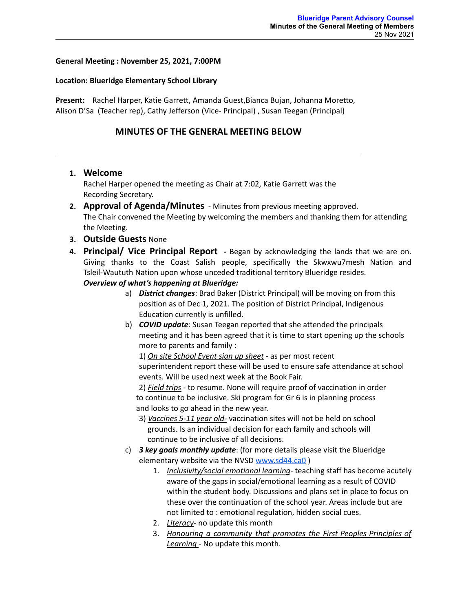### **General Meeting : November 25, 2021, 7:00PM**

#### **Location: Blueridge Elementary School Library**

**Present:** Rachel Harper, Katie Garrett, Amanda Guest,Bianca Bujan, Johanna Moretto, Alison D'Sa (Teacher rep), Cathy Jefferson (Vice- Principal) , Susan Teegan (Principal)

## **MINUTES OF THE GENERAL MEETING BELOW**

### **1. Welcome**

Rachel Harper opened the meeting as Chair at 7:02, Katie Garrett was the Recording Secretary.

- **2. Approval of Agenda/Minutes** Minutes from previous meeting approved. The Chair convened the Meeting by welcoming the members and thanking them for attending the Meeting.
- **3. Outside Guests** None
- **4. Principal/ Vice Principal Report -** Began by acknowledging the lands that we are on. Giving thanks to the Coast Salish people, specifically the Skwxwu7mesh Nation and Tsleil-Waututh Nation upon whose unceded traditional territory Blueridge resides.
	- *Overview of what's happening at Blueridge:*
		- a) *District changes*: Brad Baker (District Principal) will be moving on from this position as of Dec 1, 2021. The position of District Principal, Indigenous Education currently is unfilled.
		- b) *COVID update*: Susan Teegan reported that she attended the principals meeting and it has been agreed that it is time to start opening up the schools more to parents and family :

1) *On site School Event sign up sheet* - as per most recent superintendent report these will be used to ensure safe attendance at school events. Will be used next week at the Book Fair.

2) *Field trips* - to resume. None will require proof of vaccination in order to continue to be inclusive. Ski program for Gr 6 is in planning process and looks to go ahead in the new year.

- 3) *Vaccines 5-11 year old-* vaccination sites will not be held on school grounds. Is an individual decision for each family and schools will continue to be inclusive of all decisions.
- c) *3 key goals monthly update*: (for more details please visit the Blueridge elementary website via the NVSD [www.sd44.ca0](http://www.sd44.ca0) )
	- 1. *Inclusivity/social emotional learning* teaching staff has become acutely aware of the gaps in social/emotional learning as a result of COVID within the student body. Discussions and plans set in place to focus on these over the continuation of the school year. Areas include but are not limited to : emotional regulation, hidden social cues.
	- 2. *Literacy* no update this month
	- 3. *Honouring a community that promotes the First Peoples Principles of Learning* - No update this month.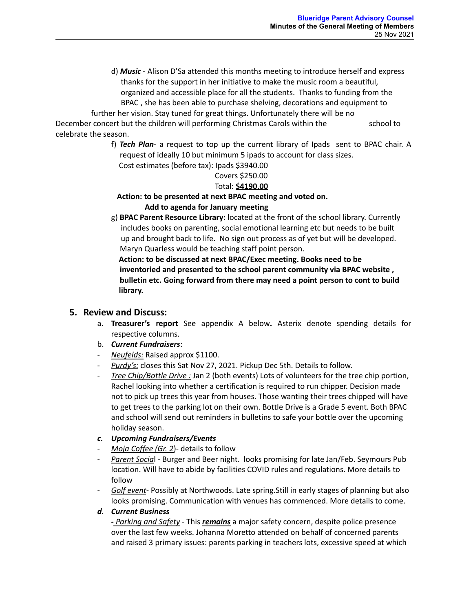d) *Music* - Alison D'Sa attended this months meeting to introduce herself and express thanks for the support in her initiative to make the music room a beautiful, organized and accessible place for all the students. Thanks to funding from the BPAC , she has been able to purchase shelving, decorations and equipment to

further her vision. Stay tuned for great things. Unfortunately there will be no December concert but the children will performing Christmas Carols within the school to celebrate the season.

> f) *Tech Plan*- a request to top up the current library of Ipads sent to BPAC chair. A request of ideally 10 but minimum 5 ipads to account for class sizes.

Cost estimates (before tax): Ipads \$3940.00 Covers \$250.00

# Total: **\$4190.00**

# **Action: to be presented at next BPAC meeting and voted on. Add to agenda for January meeting**

g) **BPAC Parent Resource Library:** located at the front of the school library. Currently includes books on parenting, social emotional learning etc but needs to be built up and brought back to life. No sign out process as of yet but will be developed. Maryn Quarless would be teaching staff point person.

**Action: to be discussed at next BPAC/Exec meeting. Books need to be inventoried and presented to the school parent community via BPAC website , bulletin etc. Going forward from there may need a point person to cont to build library.**

# **5. Review and Discuss:**

- a. **Treasurer's report** See appendix A below**.** Asterix denote spending details for respective columns.
- b. *Current Fundraisers*:
- *Neufelds:* Raised approx \$1100.
- Purdy's: closes this Sat Nov 27, 2021. Pickup Dec 5th. Details to follow.
- *Tree Chip/Bottle Drive :* Jan 2 (both events) Lots of volunteers for the tree chip portion, Rachel looking into whether a certification is required to run chipper. Decision made not to pick up trees this year from houses. Those wanting their trees chipped will have to get trees to the parking lot on their own. Bottle Drive is a Grade 5 event. Both BPAC and school will send out reminders in bulletins to safe your bottle over the upcoming holiday season.
- *c. Upcoming Fundraisers/Events*
- *Moja Coffee (Gr. 2*)- details to follow
- *Parent Socia*l Burger and Beer night. looks promising for late Jan/Feb. Seymours Pub location. Will have to abide by facilities COVID rules and regulations. More details to follow
- *Golf event* Possibly at Northwoods. Late spring.Still in early stages of planning but also looks promising. Communication with venues has commenced. More details to come.

## *d. Current Business*

*- Parking and Safety* - This *remains* a major safety concern, despite police presence over the last few weeks. Johanna Moretto attended on behalf of concerned parents and raised 3 primary issues: parents parking in teachers lots, excessive speed at which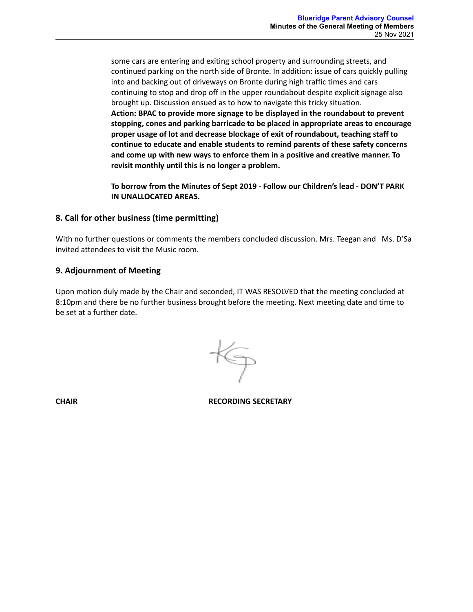some cars are entering and exiting school property and surrounding streets, and continued parking on the north side of Bronte. In addition: issue of cars quickly pulling into and backing out of driveways on Bronte during high traffic times and cars continuing to stop and drop off in the upper roundabout despite explicit signage also brought up. Discussion ensued as to how to navigate this tricky situation. **Action: BPAC to provide more signage to be displayed in the roundabout to prevent stopping, cones and parking barricade to be placed in appropriate areas to encourage proper usage of lot and decrease blockage of exit of roundabout, teaching staff to continue to educate and enable students to remind parents of these safety concerns and come up with new ways to enforce them in a positive and creative manner. To revisit monthly until this is no longer a problem.**

**To borrow from the Minutes of Sept 2019 - Follow our Children's lead - DON'T PARK IN UNALLOCATED AREAS.**

## **8. Call for other business (time permitting)**

With no further questions or comments the members concluded discussion. Mrs. Teegan and Ms. D'Sa invited attendees to visit the Music room.

### **9. Adjournment of Meeting**

Upon motion duly made by the Chair and seconded, IT WAS RESOLVED that the meeting concluded at 8:10pm and there be no further business brought before the meeting. Next meeting date and time to be set at a further date.

**CHAIR RECORDING SECRETARY**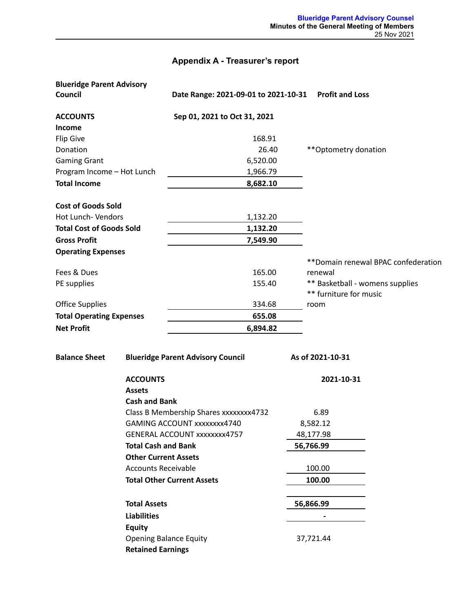# **Appendix A - Treasurer's report**

| <b>Blueridge Parent Advisory</b> |                                          |                                        |                                      |  |
|----------------------------------|------------------------------------------|----------------------------------------|--------------------------------------|--|
| Council                          |                                          | Date Range: 2021-09-01 to 2021-10-31   | <b>Profit and Loss</b>               |  |
| <b>ACCOUNTS</b>                  |                                          | Sep 01, 2021 to Oct 31, 2021           |                                      |  |
| Income                           |                                          |                                        |                                      |  |
| <b>Flip Give</b>                 |                                          | 168.91                                 |                                      |  |
| Donation                         |                                          | 26.40                                  | ** Optometry donation                |  |
| <b>Gaming Grant</b>              |                                          | 6,520.00                               |                                      |  |
| Program Income - Hot Lunch       |                                          | 1,966.79                               |                                      |  |
| <b>Total Income</b>              |                                          | 8,682.10                               |                                      |  |
| <b>Cost of Goods Sold</b>        |                                          |                                        |                                      |  |
| Hot Lunch- Vendors               |                                          | 1,132.20                               |                                      |  |
| <b>Total Cost of Goods Sold</b>  |                                          | 1,132.20                               |                                      |  |
| <b>Gross Profit</b>              |                                          | 7,549.90                               |                                      |  |
| <b>Operating Expenses</b>        |                                          |                                        |                                      |  |
|                                  |                                          |                                        | ** Domain renewal BPAC confederation |  |
| Fees & Dues                      |                                          | 165.00                                 | renewal                              |  |
| PE supplies                      |                                          | 155.40                                 | ** Basketball - womens supplies      |  |
|                                  |                                          |                                        | ** furniture for music               |  |
| <b>Office Supplies</b>           |                                          | 334.68                                 | room                                 |  |
| <b>Total Operating Expenses</b>  |                                          | 655.08                                 |                                      |  |
| <b>Net Profit</b>                |                                          | 6,894.82                               |                                      |  |
| <b>Balance Sheet</b>             | <b>Blueridge Parent Advisory Council</b> |                                        | As of 2021-10-31                     |  |
|                                  | <b>ACCOUNTS</b>                          |                                        | 2021-10-31                           |  |
|                                  | <b>Assets</b>                            |                                        |                                      |  |
|                                  | <b>Cash and Bank</b>                     |                                        |                                      |  |
|                                  |                                          | Class B Membership Shares xxxxxxxx4732 | 6.89                                 |  |
|                                  | GAMING ACCOUNT xxxxxxxx4740              |                                        | 8,582.12                             |  |
|                                  | <b>GENERAL ACCOUNT xxxxxxxx4757</b>      |                                        | 48,177.98                            |  |
|                                  | <b>Total Cash and Bank</b>               |                                        | 56,766.99                            |  |
|                                  | <b>Other Current Assets</b>              |                                        |                                      |  |
|                                  | <b>Accounts Receivable</b>               |                                        | 100.00                               |  |
|                                  | <b>Total Other Current Assets</b>        |                                        | 100.00                               |  |
|                                  | <b>Total Assets</b>                      |                                        | 56,866.99                            |  |
|                                  | <b>Liabilities</b>                       |                                        |                                      |  |
|                                  | <b>Equity</b>                            |                                        |                                      |  |
|                                  | <b>Opening Balance Equity</b>            |                                        | 37,721.44                            |  |
|                                  | <b>Retained Earnings</b>                 |                                        |                                      |  |